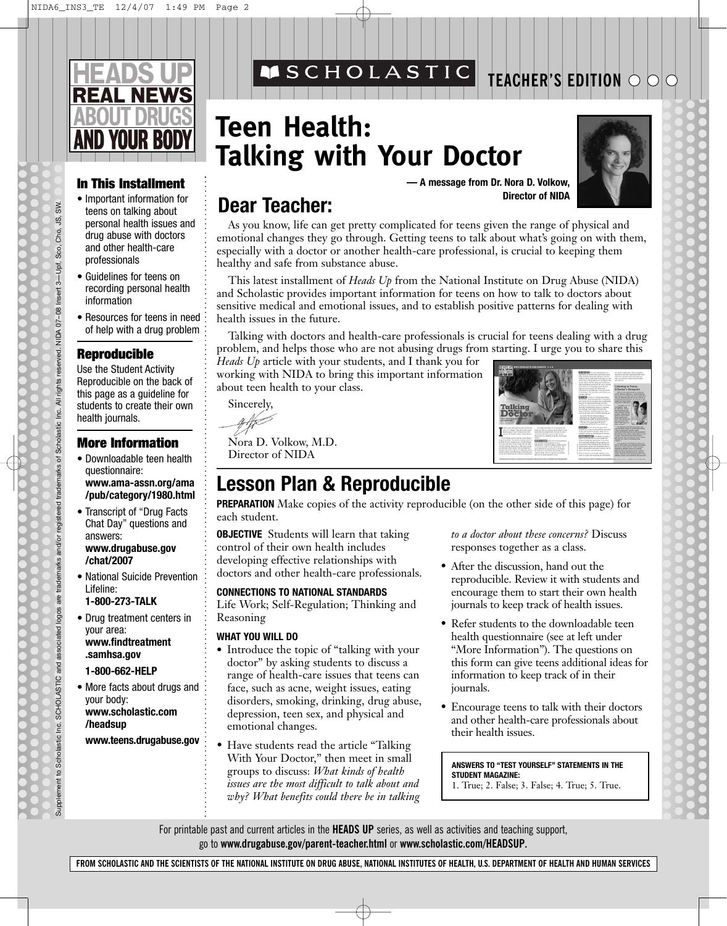# **REAL NEWS**

## **In This Installment**

- Important information for teens on talking about personal health issues and drug abuse with doctors and other health-care professionals
- Guidelines for teens on recording personal health information
- Resources for teens in need of help with a drug problem

## **Reproducible**

Use the Student Activity Reproducible on the back of this page as a guideline for students to create their own health journals.

### **More Information**

- Downloadable teen health questionnaire: **www.ama-assn.org/ama /pub/category/1980.html**
- Transcript of "Drug Facts Chat Day" questions and answers: **www.drugabuse.gov /chat/2007**
- National Suicide Prevention Lifeline:
- **1-800-273-TALK**

Supplement to Scholastic Inc. SCHOLASTIC and associated logos are trademarks and/or registered trademarks of Scholastic Inc. All rights reserved. NIDA 07–08 Insert 3—Upf, Sco, Cho, JS, SW.

Supplement to Scholastic Inc. SCHOLASTIC and associated logos are trademarks and/or registered trademarks of

Scholastic Inc. All rights

SW. s, Cho, Sco,

reserved. NIDA 07-08 Insert 3-Upf,

• Drug treatment centers in your area: **www.findtreatment .samhsa.gov**

#### **1-800-662-HELP**

• More facts about drugs and your body: **www.scholastic.com /headsup**

**www.teens.drugabuse.gov**

## **Teen Health: Talking with Your Doctor**

**MSCHOLASTIC** 



**TEACHER'S EDITION**

**— A message from Dr. Nora D. Volkow,**

## **Director of NIDA Dear Teacher:**

As you know, life can get pretty complicated for teens given the range of physical and emotional changes they go through. Getting teens to talk about what's going on with them, especially with a doctor or another health-care professional, is crucial to keeping them healthy and safe from substance abuse.

This latest installment of *Heads Up* from the National Institute on Drug Abuse (NIDA) and Scholastic provides important information for teens on how to talk to doctors about sensitive medical and emotional issues, and to establish positive patterns for dealing with health issues in the future.

Talking with doctors and health-care professionals is crucial for teens dealing with a drug problem, and helps those who are not abusing drugs from starting. I urge you to share this

*Heads Up* article with your students, and I thank you for working with NIDA to bring this important information about teen health to your class.

Sincerely,

Nora D. Volkow, M.D. Director of NIDA

## **Lesson Plan & Reproducible**

**PREPARATION** Make copies of the activity reproducible (on the other side of this page) for each student.

**OBJECTIVE** Students will learn that taking control of their own health includes developing effective relationships with doctors and other health-care professionals.

#### **CONNECTIONS TO NATIONAL STANDARDS**

Life Work; Self-Regulation; Thinking and Reasoning

#### **WHAT YOU WILL DO**

- **•** Introduce the topic of "talking with your doctor" by asking students to discuss a range of health-care issues that teens can face, such as acne, weight issues, eating disorders, smoking, drinking, drug abuse, depression, teen sex, and physical and emotional changes.
- Have students read the article "Talking With Your Doctor," then meet in small groups to discuss: *What kinds of health issues are the most difficult to talk about and why? What benefits could there be in talking*

*to a doctor about these concerns?* Discuss responses together as a class.

- After the discussion, hand out the reproducible. Review it with students and encourage them to start their own health journals to keep track of health issues.
- Refer students to the downloadable teen health questionnaire (see at left under "More Information"). The questions on this form can give teens additional ideas for information to keep track of in their journals.
- Encourage teens to talk with their doctors and other health-care professionals about their health issues.

**ANSWERS TO "TEST YOURSELF" STATEMENTS IN THE STUDENT MAGAZINE:**  1. True; 2. False; 3. False; 4. True; 5. True.

For printable past and current articles in the **HEADS UP** series, as well as activities and teaching support, go to **www.drugabuse.gov/parent-teacher.html** or **www.scholastic.com/HEADSUP.**

**FROM SCHOLASTIC AND THE SCIENTISTS OF THE NATIONAL INSTITUTE ON DRUG ABUSE, NATIONAL INSTITUTES OF HEALTH, U.S. DEPARTMENT OF HEALTH AND HUMAN SERVICES**